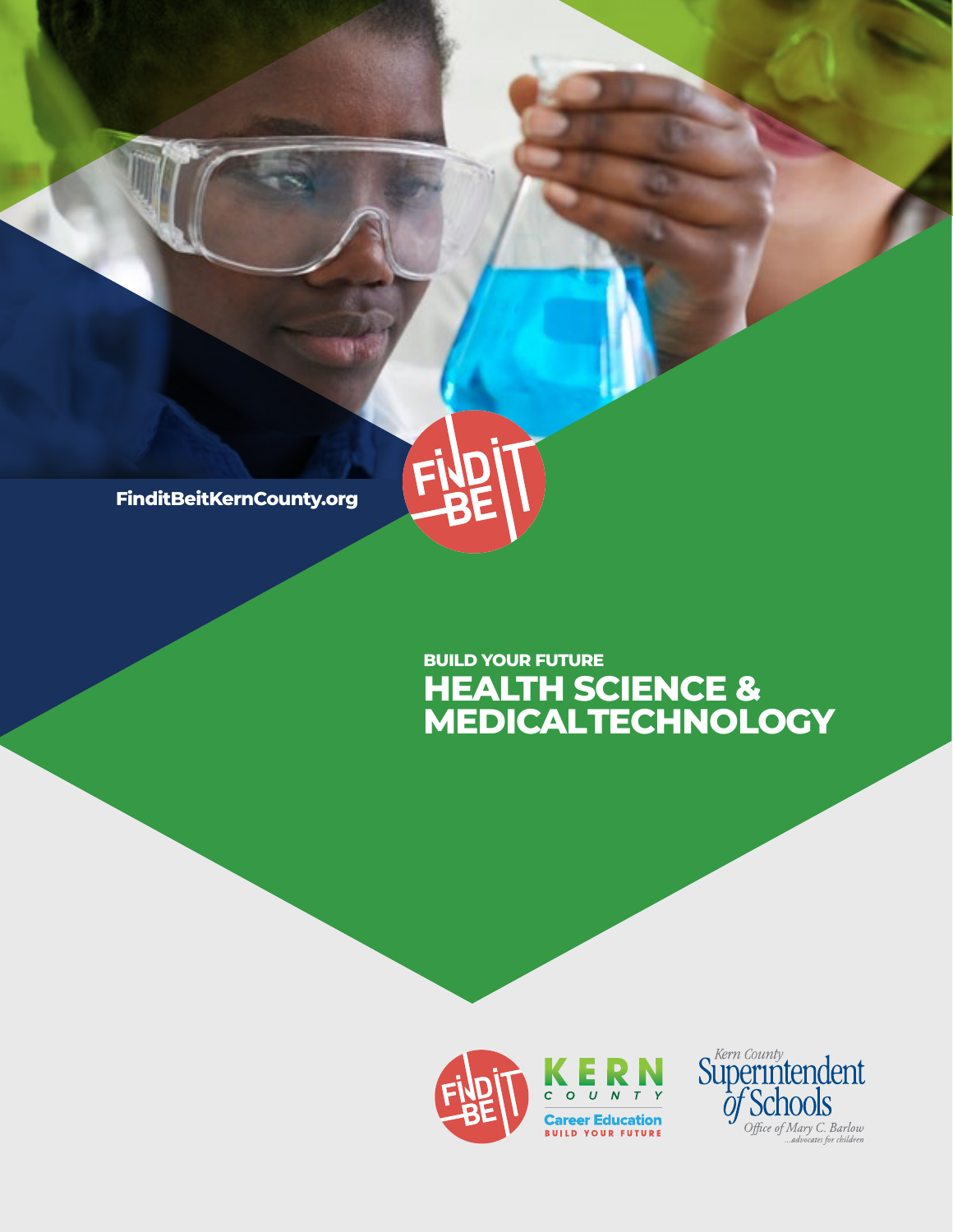

## **HEALTH SCIENCE & MEDICAL TECHNOLOGY BUILD YOUR FUTURE**